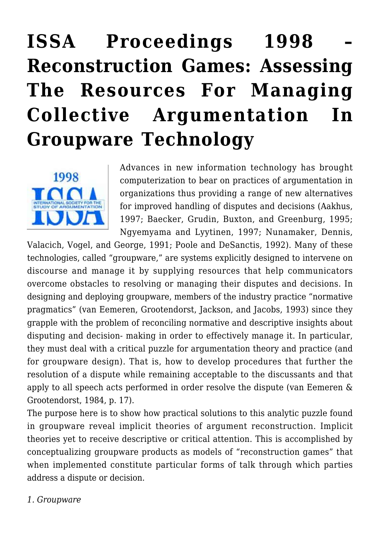# **[ISSA Proceedings 1998 –](https://rozenbergquarterly.com/issa-proceedings-1998-reconstruction-games-assessing-the-resources-for-managing-collective-argumentation-in-groupware-technology/) [Reconstruction Games: Assessing](https://rozenbergquarterly.com/issa-proceedings-1998-reconstruction-games-assessing-the-resources-for-managing-collective-argumentation-in-groupware-technology/) [The Resources For Managing](https://rozenbergquarterly.com/issa-proceedings-1998-reconstruction-games-assessing-the-resources-for-managing-collective-argumentation-in-groupware-technology/) [Collective Argumentation In](https://rozenbergquarterly.com/issa-proceedings-1998-reconstruction-games-assessing-the-resources-for-managing-collective-argumentation-in-groupware-technology/) [Groupware Technology](https://rozenbergquarterly.com/issa-proceedings-1998-reconstruction-games-assessing-the-resources-for-managing-collective-argumentation-in-groupware-technology/)**



Advances in new information technology has brought computerization to bear on practices of argumentation in organizations thus providing a range of new alternatives for improved handling of disputes and decisions (Aakhus, 1997; Baecker, Grudin, Buxton, and Greenburg, 1995; Ngyemyama and Lyytinen, 1997; Nunamaker, Dennis,

Valacich, Vogel, and George, 1991; Poole and DeSanctis, 1992). Many of these technologies, called "groupware," are systems explicitly designed to intervene on discourse and manage it by supplying resources that help communicators overcome obstacles to resolving or managing their disputes and decisions. In designing and deploying groupware, members of the industry practice "normative pragmatics" (van Eemeren, Grootendorst, Jackson, and Jacobs, 1993) since they grapple with the problem of reconciling normative and descriptive insights about disputing and decision- making in order to effectively manage it. In particular, they must deal with a critical puzzle for argumentation theory and practice (and for groupware design). That is, how to develop procedures that further the resolution of a dispute while remaining acceptable to the discussants and that apply to all speech acts performed in order resolve the dispute (van Eemeren & Grootendorst, 1984, p. 17).

The purpose here is to show how practical solutions to this analytic puzzle found in groupware reveal implicit theories of argument reconstruction. Implicit theories yet to receive descriptive or critical attention. This is accomplished by conceptualizing groupware products as models of "reconstruction games" that when implemented constitute particular forms of talk through which parties address a dispute or decision.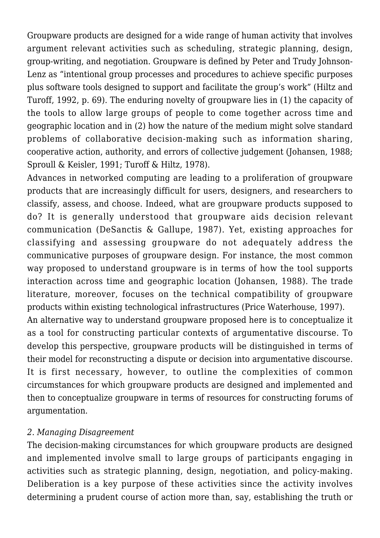Groupware products are designed for a wide range of human activity that involves argument relevant activities such as scheduling, strategic planning, design, group-writing, and negotiation. Groupware is defined by Peter and Trudy Johnson-Lenz as "intentional group processes and procedures to achieve specific purposes plus software tools designed to support and facilitate the group's work" (Hiltz and Turoff, 1992, p. 69). The enduring novelty of groupware lies in (1) the capacity of the tools to allow large groups of people to come together across time and geographic location and in (2) how the nature of the medium might solve standard problems of collaborative decision-making such as information sharing, cooperative action, authority, and errors of collective judgement (Johansen, 1988; Sproull & Keisler, 1991; Turoff & Hiltz, 1978).

Advances in networked computing are leading to a proliferation of groupware products that are increasingly difficult for users, designers, and researchers to classify, assess, and choose. Indeed, what are groupware products supposed to do? It is generally understood that groupware aids decision relevant communication (DeSanctis & Gallupe, 1987). Yet, existing approaches for classifying and assessing groupware do not adequately address the communicative purposes of groupware design. For instance, the most common way proposed to understand groupware is in terms of how the tool supports interaction across time and geographic location (Johansen, 1988). The trade literature, moreover, focuses on the technical compatibility of groupware products within existing technological infrastructures (Price Waterhouse, 1997).

An alternative way to understand groupware proposed here is to conceptualize it as a tool for constructing particular contexts of argumentative discourse. To develop this perspective, groupware products will be distinguished in terms of their model for reconstructing a dispute or decision into argumentative discourse. It is first necessary, however, to outline the complexities of common circumstances for which groupware products are designed and implemented and then to conceptualize groupware in terms of resources for constructing forums of argumentation.

### *2. Managing Disagreement*

The decision-making circumstances for which groupware products are designed and implemented involve small to large groups of participants engaging in activities such as strategic planning, design, negotiation, and policy-making. Deliberation is a key purpose of these activities since the activity involves determining a prudent course of action more than, say, establishing the truth or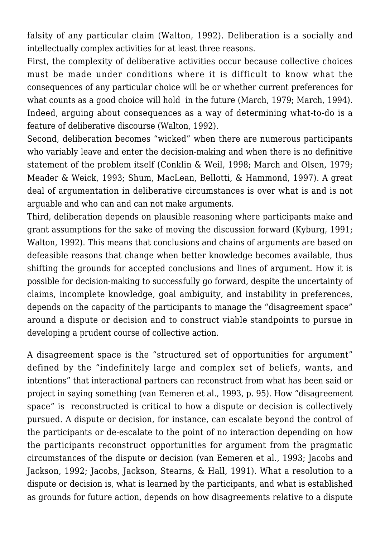falsity of any particular claim (Walton, 1992). Deliberation is a socially and intellectually complex activities for at least three reasons.

First, the complexity of deliberative activities occur because collective choices must be made under conditions where it is difficult to know what the consequences of any particular choice will be or whether current preferences for what counts as a good choice will hold in the future (March, 1979; March, 1994). Indeed, arguing about consequences as a way of determining what-to-do is a feature of deliberative discourse (Walton, 1992).

Second, deliberation becomes "wicked" when there are numerous participants who variably leave and enter the decision-making and when there is no definitive statement of the problem itself (Conklin & Weil, 1998; March and Olsen, 1979; Meader & Weick, 1993; Shum, MacLean, Bellotti, & Hammond, 1997). A great deal of argumentation in deliberative circumstances is over what is and is not arguable and who can and can not make arguments.

Third, deliberation depends on plausible reasoning where participants make and grant assumptions for the sake of moving the discussion forward (Kyburg, 1991; Walton, 1992). This means that conclusions and chains of arguments are based on defeasible reasons that change when better knowledge becomes available, thus shifting the grounds for accepted conclusions and lines of argument. How it is possible for decision-making to successfully go forward, despite the uncertainty of claims, incomplete knowledge, goal ambiguity, and instability in preferences, depends on the capacity of the participants to manage the "disagreement space" around a dispute or decision and to construct viable standpoints to pursue in developing a prudent course of collective action.

A disagreement space is the "structured set of opportunities for argument" defined by the "indefinitely large and complex set of beliefs, wants, and intentions" that interactional partners can reconstruct from what has been said or project in saying something (van Eemeren et al., 1993, p. 95). How "disagreement space" is reconstructed is critical to how a dispute or decision is collectively pursued. A dispute or decision, for instance, can escalate beyond the control of the participants or de-escalate to the point of no interaction depending on how the participants reconstruct opportunities for argument from the pragmatic circumstances of the dispute or decision (van Eemeren et al., 1993; Jacobs and Jackson, 1992; Jacobs, Jackson, Stearns, & Hall, 1991). What a resolution to a dispute or decision is, what is learned by the participants, and what is established as grounds for future action, depends on how disagreements relative to a dispute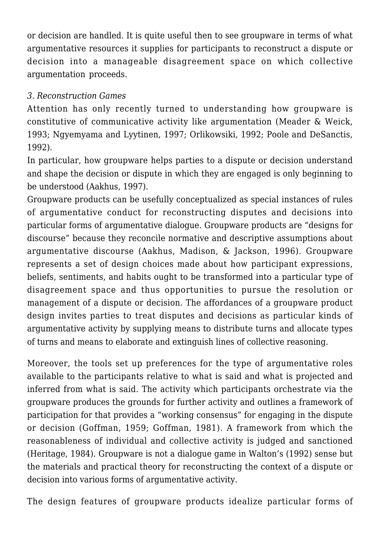or decision are handled. It is quite useful then to see groupware in terms of what argumentative resources it supplies for participants to reconstruct a dispute or decision into a manageable disagreement space on which collective argumentation proceeds.

## *3. Reconstruction Games*

Attention has only recently turned to understanding how groupware is constitutive of communicative activity like argumentation (Meader & Weick, 1993; Ngyemyama and Lyytinen, 1997; Orlikowsiki, 1992; Poole and DeSanctis, 1992).

In particular, how groupware helps parties to a dispute or decision understand and shape the decision or dispute in which they are engaged is only beginning to be understood (Aakhus, 1997).

Groupware products can be usefully conceptualized as special instances of rules of argumentative conduct for reconstructing disputes and decisions into particular forms of argumentative dialogue. Groupware products are "designs for discourse" because they reconcile normative and descriptive assumptions about argumentative discourse (Aakhus, Madison, & Jackson, 1996). Groupware represents a set of design choices made about how participant expressions, beliefs, sentiments, and habits ought to be transformed into a particular type of disagreement space and thus opportunities to pursue the resolution or management of a dispute or decision. The affordances of a groupware product design invites parties to treat disputes and decisions as particular kinds of argumentative activity by supplying means to distribute turns and allocate types of turns and means to elaborate and extinguish lines of collective reasoning.

Moreover, the tools set up preferences for the type of argumentative roles available to the participants relative to what is said and what is projected and inferred from what is said. The activity which participants orchestrate via the groupware produces the grounds for further activity and outlines a framework of participation for that provides a "working consensus" for engaging in the dispute or decision (Goffman, 1959; Goffman, 1981). A framework from which the reasonableness of individual and collective activity is judged and sanctioned (Heritage, 1984). Groupware is not a dialogue game in Walton's (1992) sense but the materials and practical theory for reconstructing the context of a dispute or decision into various forms of argumentative activity.

The design features of groupware products idealize particular forms of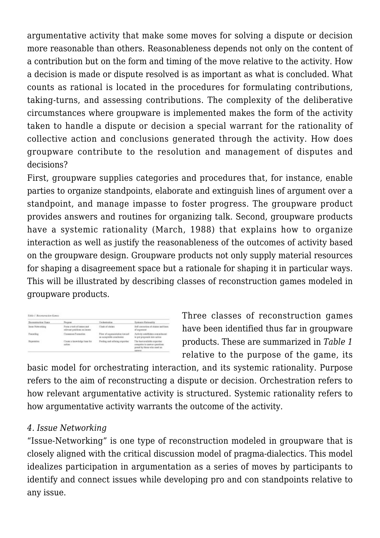argumentative activity that make some moves for solving a dispute or decision more reasonable than others. Reasonableness depends not only on the content of a contribution but on the form and timing of the move relative to the activity. How a decision is made or dispute resolved is as important as what is concluded. What counts as rational is located in the procedures for formulating contributions, taking-turns, and assessing contributions. The complexity of the deliberative circumstances where groupware is implemented makes the form of the activity taken to handle a dispute or decision a special warrant for the rationality of collective action and conclusions generated through the activity. How does groupware contribute to the resolution and management of disputes and decisions?

First, groupware supplies categories and procedures that, for instance, enable parties to organize standpoints, elaborate and extinguish lines of argument over a standpoint, and manage impasse to foster progress. The groupware product provides answers and routines for organizing talk. Second, groupware products have a systemic rationality (March, 1988) that explains how to organize interaction as well as justify the reasonableness of the outcomes of activity based on the groupware design. Groupware products not only supply material resources for shaping a disagreement space but a rationale for shaping it in particular ways. This will be illustrated by describing classes of reconstruction games modeled in groupware products.

| Recentlesction Game | Porpose                                                   | Derkestration                                            | Pestencie Rationality                                                                                      |
|---------------------|-----------------------------------------------------------|----------------------------------------------------------|------------------------------------------------------------------------------------------------------------|
| Issue Networking    | Form a web of inners and<br>relevent prolifices on issues | Clash of claims                                          | Jeff correction of classes and lines.<br>of argument.                                                      |
| Fauneling           | Cassansas Fortunities                                     | Flow of argumentation toward<br>an acceptable conclusion | Activity establishes commitment<br>to put proposals into action                                            |
| Reportation         | Create a knowledge base for<br>sation                     | Profing and refining experies:                           | The best synihible expertise<br>competes to awwar georgoes.<br>posed by those who need an<br><b>LESWIS</b> |

Three classes of reconstruction games have been identified thus far in groupware products. These are summarized in *Table 1* relative to the purpose of the game, its

basic model for orchestrating interaction, and its systemic rationality. Purpose refers to the aim of reconstructing a dispute or decision. Orchestration refers to how relevant argumentative activity is structured. Systemic rationality refers to how argumentative activity warrants the outcome of the activity.

## *4. Issue Networking*

"Issue-Networking" is one type of reconstruction modeled in groupware that is closely aligned with the critical discussion model of pragma-dialectics. This model idealizes participation in argumentation as a series of moves by participants to identify and connect issues while developing pro and con standpoints relative to any issue.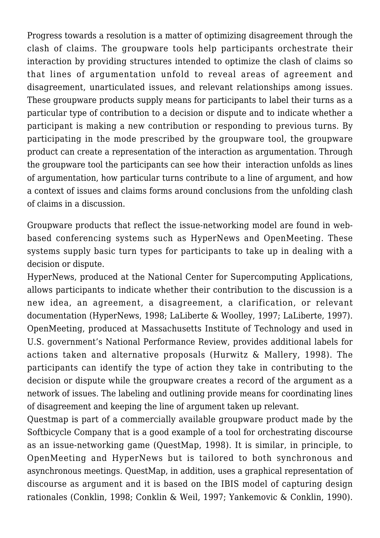Progress towards a resolution is a matter of optimizing disagreement through the clash of claims. The groupware tools help participants orchestrate their interaction by providing structures intended to optimize the clash of claims so that lines of argumentation unfold to reveal areas of agreement and disagreement, unarticulated issues, and relevant relationships among issues. These groupware products supply means for participants to label their turns as a particular type of contribution to a decision or dispute and to indicate whether a participant is making a new contribution or responding to previous turns. By participating in the mode prescribed by the groupware tool, the groupware product can create a representation of the interaction as argumentation. Through the groupware tool the participants can see how their interaction unfolds as lines of argumentation, how particular turns contribute to a line of argument, and how a context of issues and claims forms around conclusions from the unfolding clash of claims in a discussion.

Groupware products that reflect the issue-networking model are found in webbased conferencing systems such as HyperNews and OpenMeeting. These systems supply basic turn types for participants to take up in dealing with a decision or dispute.

HyperNews, produced at the National Center for Supercomputing Applications, allows participants to indicate whether their contribution to the discussion is a new idea, an agreement, a disagreement, a clarification, or relevant documentation (HyperNews, 1998; LaLiberte & Woolley, 1997; LaLiberte, 1997). OpenMeeting, produced at Massachusetts Institute of Technology and used in U.S. government's National Performance Review, provides additional labels for actions taken and alternative proposals (Hurwitz & Mallery, 1998). The participants can identify the type of action they take in contributing to the decision or dispute while the groupware creates a record of the argument as a network of issues. The labeling and outlining provide means for coordinating lines of disagreement and keeping the line of argument taken up relevant.

Questmap is part of a commercially available groupware product made by the Softbicycle Company that is a good example of a tool for orchestrating discourse as an issue-networking game (QuestMap, 1998). It is similar, in principle, to OpenMeeting and HyperNews but is tailored to both synchronous and asynchronous meetings. QuestMap, in addition, uses a graphical representation of discourse as argument and it is based on the IBIS model of capturing design rationales (Conklin, 1998; Conklin & Weil, 1997; Yankemovic & Conklin, 1990).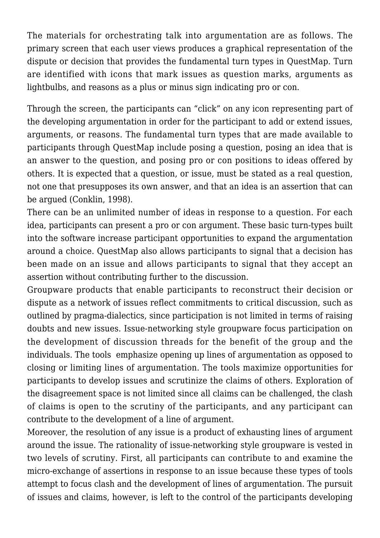The materials for orchestrating talk into argumentation are as follows. The primary screen that each user views produces a graphical representation of the dispute or decision that provides the fundamental turn types in QuestMap. Turn are identified with icons that mark issues as question marks, arguments as lightbulbs, and reasons as a plus or minus sign indicating pro or con.

Through the screen, the participants can "click" on any icon representing part of the developing argumentation in order for the participant to add or extend issues, arguments, or reasons. The fundamental turn types that are made available to participants through QuestMap include posing a question, posing an idea that is an answer to the question, and posing pro or con positions to ideas offered by others. It is expected that a question, or issue, must be stated as a real question, not one that presupposes its own answer, and that an idea is an assertion that can be argued (Conklin, 1998).

There can be an unlimited number of ideas in response to a question. For each idea, participants can present a pro or con argument. These basic turn-types built into the software increase participant opportunities to expand the argumentation around a choice. QuestMap also allows participants to signal that a decision has been made on an issue and allows participants to signal that they accept an assertion without contributing further to the discussion.

Groupware products that enable participants to reconstruct their decision or dispute as a network of issues reflect commitments to critical discussion, such as outlined by pragma-dialectics, since participation is not limited in terms of raising doubts and new issues. Issue-networking style groupware focus participation on the development of discussion threads for the benefit of the group and the individuals. The tools emphasize opening up lines of argumentation as opposed to closing or limiting lines of argumentation. The tools maximize opportunities for participants to develop issues and scrutinize the claims of others. Exploration of the disagreement space is not limited since all claims can be challenged, the clash of claims is open to the scrutiny of the participants, and any participant can contribute to the development of a line of argument.

Moreover, the resolution of any issue is a product of exhausting lines of argument around the issue. The rationality of issue-networking style groupware is vested in two levels of scrutiny. First, all participants can contribute to and examine the micro-exchange of assertions in response to an issue because these types of tools attempt to focus clash and the development of lines of argumentation. The pursuit of issues and claims, however, is left to the control of the participants developing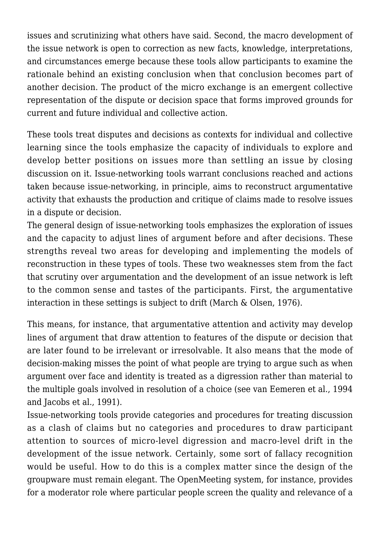issues and scrutinizing what others have said. Second, the macro development of the issue network is open to correction as new facts, knowledge, interpretations, and circumstances emerge because these tools allow participants to examine the rationale behind an existing conclusion when that conclusion becomes part of another decision. The product of the micro exchange is an emergent collective representation of the dispute or decision space that forms improved grounds for current and future individual and collective action.

These tools treat disputes and decisions as contexts for individual and collective learning since the tools emphasize the capacity of individuals to explore and develop better positions on issues more than settling an issue by closing discussion on it. Issue-networking tools warrant conclusions reached and actions taken because issue-networking, in principle, aims to reconstruct argumentative activity that exhausts the production and critique of claims made to resolve issues in a dispute or decision.

The general design of issue-networking tools emphasizes the exploration of issues and the capacity to adjust lines of argument before and after decisions. These strengths reveal two areas for developing and implementing the models of reconstruction in these types of tools. These two weaknesses stem from the fact that scrutiny over argumentation and the development of an issue network is left to the common sense and tastes of the participants. First, the argumentative interaction in these settings is subject to drift (March & Olsen, 1976).

This means, for instance, that argumentative attention and activity may develop lines of argument that draw attention to features of the dispute or decision that are later found to be irrelevant or irresolvable. It also means that the mode of decision-making misses the point of what people are trying to argue such as when argument over face and identity is treated as a digression rather than material to the multiple goals involved in resolution of a choice (see van Eemeren et al., 1994 and Jacobs et al., 1991).

Issue-networking tools provide categories and procedures for treating discussion as a clash of claims but no categories and procedures to draw participant attention to sources of micro-level digression and macro-level drift in the development of the issue network. Certainly, some sort of fallacy recognition would be useful. How to do this is a complex matter since the design of the groupware must remain elegant. The OpenMeeting system, for instance, provides for a moderator role where particular people screen the quality and relevance of a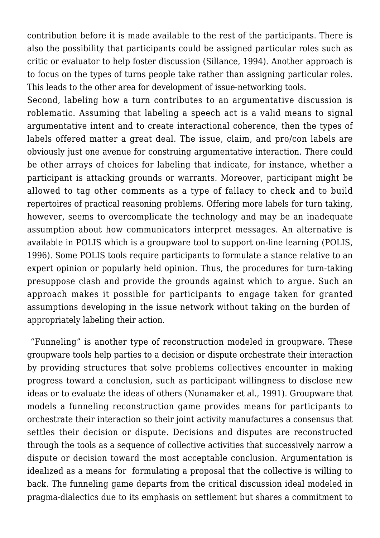contribution before it is made available to the rest of the participants. There is also the possibility that participants could be assigned particular roles such as critic or evaluator to help foster discussion (Sillance, 1994). Another approach is to focus on the types of turns people take rather than assigning particular roles. This leads to the other area for development of issue-networking tools.

Second, labeling how a turn contributes to an argumentative discussion is roblematic. Assuming that labeling a speech act is a valid means to signal argumentative intent and to create interactional coherence, then the types of labels offered matter a great deal. The issue, claim, and pro/con labels are obviously just one avenue for construing argumentative interaction. There could be other arrays of choices for labeling that indicate, for instance, whether a participant is attacking grounds or warrants. Moreover, participant might be allowed to tag other comments as a type of fallacy to check and to build repertoires of practical reasoning problems. Offering more labels for turn taking, however, seems to overcomplicate the technology and may be an inadequate assumption about how communicators interpret messages. An alternative is available in POLIS which is a groupware tool to support on-line learning (POLIS, 1996). Some POLIS tools require participants to formulate a stance relative to an expert opinion or popularly held opinion. Thus, the procedures for turn-taking presuppose clash and provide the grounds against which to argue. Such an approach makes it possible for participants to engage taken for granted assumptions developing in the issue network without taking on the burden of appropriately labeling their action.

"Funneling" is another type of reconstruction modeled in groupware. These groupware tools help parties to a decision or dispute orchestrate their interaction by providing structures that solve problems collectives encounter in making progress toward a conclusion, such as participant willingness to disclose new ideas or to evaluate the ideas of others (Nunamaker et al., 1991). Groupware that models a funneling reconstruction game provides means for participants to orchestrate their interaction so their joint activity manufactures a consensus that settles their decision or dispute. Decisions and disputes are reconstructed through the tools as a sequence of collective activities that successively narrow a dispute or decision toward the most acceptable conclusion. Argumentation is idealized as a means for formulating a proposal that the collective is willing to back. The funneling game departs from the critical discussion ideal modeled in pragma-dialectics due to its emphasis on settlement but shares a commitment to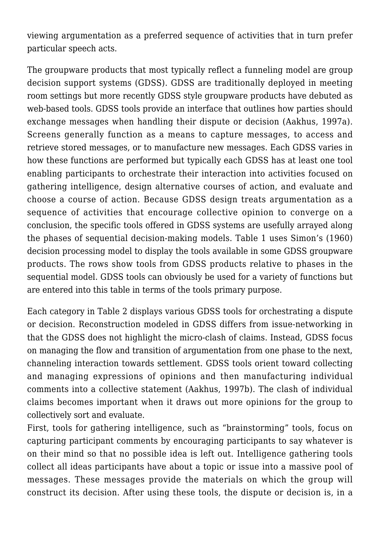viewing argumentation as a preferred sequence of activities that in turn prefer particular speech acts.

The groupware products that most typically reflect a funneling model are group decision support systems (GDSS). GDSS are traditionally deployed in meeting room settings but more recently GDSS style groupware products have debuted as web-based tools. GDSS tools provide an interface that outlines how parties should exchange messages when handling their dispute or decision (Aakhus, 1997a). Screens generally function as a means to capture messages, to access and retrieve stored messages, or to manufacture new messages. Each GDSS varies in how these functions are performed but typically each GDSS has at least one tool enabling participants to orchestrate their interaction into activities focused on gathering intelligence, design alternative courses of action, and evaluate and choose a course of action. Because GDSS design treats argumentation as a sequence of activities that encourage collective opinion to converge on a conclusion, the specific tools offered in GDSS systems are usefully arrayed along the phases of sequential decision-making models. Table 1 uses Simon's (1960) decision processing model to display the tools available in some GDSS groupware products. The rows show tools from GDSS products relative to phases in the sequential model. GDSS tools can obviously be used for a variety of functions but are entered into this table in terms of the tools primary purpose.

Each category in Table 2 displays various GDSS tools for orchestrating a dispute or decision. Reconstruction modeled in GDSS differs from issue-networking in that the GDSS does not highlight the micro-clash of claims. Instead, GDSS focus on managing the flow and transition of argumentation from one phase to the next, channeling interaction towards settlement. GDSS tools orient toward collecting and managing expressions of opinions and then manufacturing individual comments into a collective statement (Aakhus, 1997b). The clash of individual claims becomes important when it draws out more opinions for the group to collectively sort and evaluate.

First, tools for gathering intelligence, such as "brainstorming" tools, focus on capturing participant comments by encouraging participants to say whatever is on their mind so that no possible idea is left out. Intelligence gathering tools collect all ideas participants have about a topic or issue into a massive pool of messages. These messages provide the materials on which the group will construct its decision. After using these tools, the dispute or decision is, in a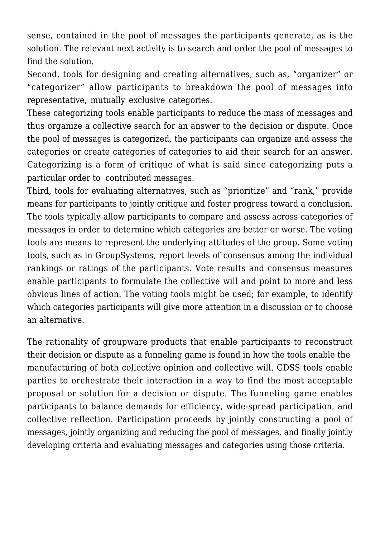sense, contained in the pool of messages the participants generate, as is the solution. The relevant next activity is to search and order the pool of messages to find the solution.

Second, tools for designing and creating alternatives, such as, "organizer" or "categorizer" allow participants to breakdown the pool of messages into representative, mutually exclusive categories.

These categorizing tools enable participants to reduce the mass of messages and thus organize a collective search for an answer to the decision or dispute. Once the pool of messages is categorized, the participants can organize and assess the categories or create categories of categories to aid their search for an answer. Categorizing is a form of critique of what is said since categorizing puts a particular order to contributed messages.

Third, tools for evaluating alternatives, such as "prioritize" and "rank," provide means for participants to jointly critique and foster progress toward a conclusion. The tools typically allow participants to compare and assess across categories of messages in order to determine which categories are better or worse. The voting tools are means to represent the underlying attitudes of the group. Some voting tools, such as in GroupSystems, report levels of consensus among the individual rankings or ratings of the participants. Vote results and consensus measures enable participants to formulate the collective will and point to more and less obvious lines of action. The voting tools might be used; for example, to identify which categories participants will give more attention in a discussion or to choose an alternative.

The rationality of groupware products that enable participants to reconstruct their decision or dispute as a funneling game is found in how the tools enable the manufacturing of both collective opinion and collective will. GDSS tools enable parties to orchestrate their interaction in a way to find the most acceptable proposal or solution for a decision or dispute. The funneling game enables participants to balance demands for efficiency, wide-spread participation, and collective reflection. Participation proceeds by jointly constructing a pool of messages, jointly organizing and reducing the pool of messages, and finally jointly developing criteria and evaluating messages and categories using those criteria.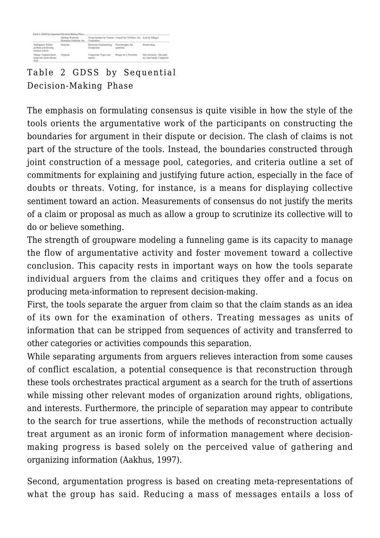|                                                                      | Morting Wedes by<br>Exterping Soletions, Inc. | Group Systems by Ventura Council by CoVision . Inc. knet by Milagao<br>Сокроссийов |                                 |                                                           |
|----------------------------------------------------------------------|-----------------------------------------------|------------------------------------------------------------------------------------|---------------------------------|-----------------------------------------------------------|
| Intelligence: Define<br>packless and develop-<br>solution criteria   | Generate                                      | Electronic brainmenting.<br>Groupes a ter                                          | Ficurthonakts, big<br>questions | <b>Drakow</b> riting                                      |
| Design: Organise lence<br>lodge and create alterna-<br><b>Elison</b> | Ceranise                                      | Categorizer, Topic com-<br><b>MARTIOS</b>                                          | Reagh out 1. Priorities         | ldes investors. Idea split-<br>to, Idea fuend. Categorize |

# Table 2 GDSS by Sequential Decision-Making Phase

The emphasis on formulating consensus is quite visible in how the style of the tools orients the argumentative work of the participants on constructing the boundaries for argument in their dispute or decision. The clash of claims is not part of the structure of the tools. Instead, the boundaries constructed through joint construction of a message pool, categories, and criteria outline a set of commitments for explaining and justifying future action, especially in the face of doubts or threats. Voting, for instance, is a means for displaying collective sentiment toward an action. Measurements of consensus do not justify the merits of a claim or proposal as much as allow a group to scrutinize its collective will to do or believe something.

The strength of groupware modeling a funneling game is its capacity to manage the flow of argumentative activity and foster movement toward a collective conclusion. This capacity rests in important ways on how the tools separate individual arguers from the claims and critiques they offer and a focus on producing meta-information to represent decision-making.

First, the tools separate the arguer from claim so that the claim stands as an idea of its own for the examination of others. Treating messages as units of information that can be stripped from sequences of activity and transferred to other categories or activities compounds this separation.

While separating arguments from arguers relieves interaction from some causes of conflict escalation, a potential consequence is that reconstruction through these tools orchestrates practical argument as a search for the truth of assertions while missing other relevant modes of organization around rights, obligations, and interests. Furthermore, the principle of separation may appear to contribute to the search for true assertions, while the methods of reconstruction actually treat argument as an ironic form of information management where decisionmaking progress is based solely on the perceived value of gathering and organizing information (Aakhus, 1997).

Second, argumentation progress is based on creating meta-representations of what the group has said. Reducing a mass of messages entails a loss of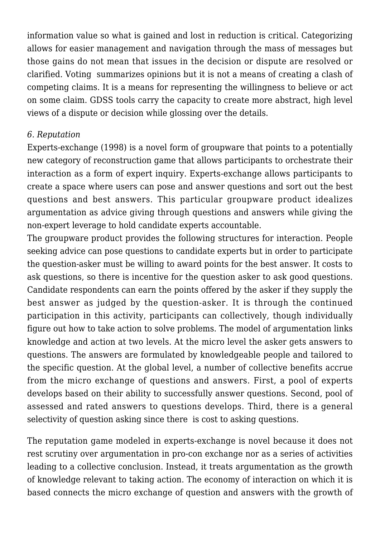information value so what is gained and lost in reduction is critical. Categorizing allows for easier management and navigation through the mass of messages but those gains do not mean that issues in the decision or dispute are resolved or clarified. Voting summarizes opinions but it is not a means of creating a clash of competing claims. It is a means for representing the willingness to believe or act on some claim. GDSS tools carry the capacity to create more abstract, high level views of a dispute or decision while glossing over the details.

### *6. Reputation*

Experts-exchange (1998) is a novel form of groupware that points to a potentially new category of reconstruction game that allows participants to orchestrate their interaction as a form of expert inquiry. Experts-exchange allows participants to create a space where users can pose and answer questions and sort out the best questions and best answers. This particular groupware product idealizes argumentation as advice giving through questions and answers while giving the non-expert leverage to hold candidate experts accountable.

The groupware product provides the following structures for interaction. People seeking advice can pose questions to candidate experts but in order to participate the question-asker must be willing to award points for the best answer. It costs to ask questions, so there is incentive for the question asker to ask good questions. Candidate respondents can earn the points offered by the asker if they supply the best answer as judged by the question-asker. It is through the continued participation in this activity, participants can collectively, though individually figure out how to take action to solve problems. The model of argumentation links knowledge and action at two levels. At the micro level the asker gets answers to questions. The answers are formulated by knowledgeable people and tailored to the specific question. At the global level, a number of collective benefits accrue from the micro exchange of questions and answers. First, a pool of experts develops based on their ability to successfully answer questions. Second, pool of assessed and rated answers to questions develops. Third, there is a general selectivity of question asking since there is cost to asking questions.

The reputation game modeled in experts-exchange is novel because it does not rest scrutiny over argumentation in pro-con exchange nor as a series of activities leading to a collective conclusion. Instead, it treats argumentation as the growth of knowledge relevant to taking action. The economy of interaction on which it is based connects the micro exchange of question and answers with the growth of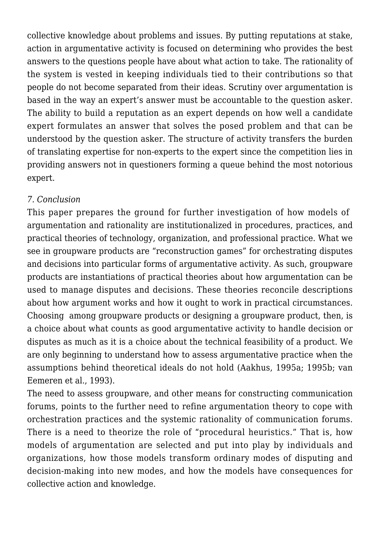collective knowledge about problems and issues. By putting reputations at stake, action in argumentative activity is focused on determining who provides the best answers to the questions people have about what action to take. The rationality of the system is vested in keeping individuals tied to their contributions so that people do not become separated from their ideas. Scrutiny over argumentation is based in the way an expert's answer must be accountable to the question asker. The ability to build a reputation as an expert depends on how well a candidate expert formulates an answer that solves the posed problem and that can be understood by the question asker. The structure of activity transfers the burden of translating expertise for non-experts to the expert since the competition lies in providing answers not in questioners forming a queue behind the most notorious expert.

## *7. Conclusion*

This paper prepares the ground for further investigation of how models of argumentation and rationality are institutionalized in procedures, practices, and practical theories of technology, organization, and professional practice. What we see in groupware products are "reconstruction games" for orchestrating disputes and decisions into particular forms of argumentative activity. As such, groupware products are instantiations of practical theories about how argumentation can be used to manage disputes and decisions. These theories reconcile descriptions about how argument works and how it ought to work in practical circumstances. Choosing among groupware products or designing a groupware product, then, is a choice about what counts as good argumentative activity to handle decision or disputes as much as it is a choice about the technical feasibility of a product. We are only beginning to understand how to assess argumentative practice when the assumptions behind theoretical ideals do not hold (Aakhus, 1995a; 1995b; van Eemeren et al., 1993).

The need to assess groupware, and other means for constructing communication forums, points to the further need to refine argumentation theory to cope with orchestration practices and the systemic rationality of communication forums. There is a need to theorize the role of "procedural heuristics." That is, how models of argumentation are selected and put into play by individuals and organizations, how those models transform ordinary modes of disputing and decision-making into new modes, and how the models have consequences for collective action and knowledge.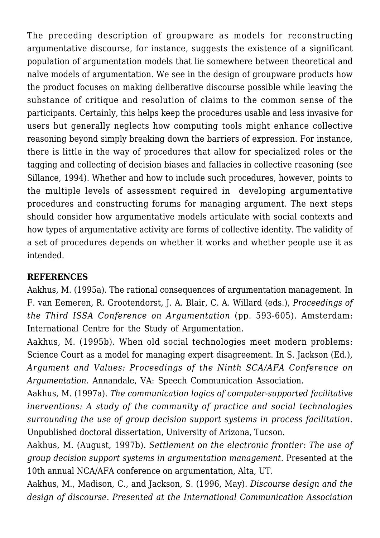The preceding description of groupware as models for reconstructing argumentative discourse, for instance, suggests the existence of a significant population of argumentation models that lie somewhere between theoretical and naïve models of argumentation. We see in the design of groupware products how the product focuses on making deliberative discourse possible while leaving the substance of critique and resolution of claims to the common sense of the participants. Certainly, this helps keep the procedures usable and less invasive for users but generally neglects how computing tools might enhance collective reasoning beyond simply breaking down the barriers of expression. For instance, there is little in the way of procedures that allow for specialized roles or the tagging and collecting of decision biases and fallacies in collective reasoning (see Sillance, 1994). Whether and how to include such procedures, however, points to the multiple levels of assessment required in developing argumentative procedures and constructing forums for managing argument. The next steps should consider how argumentative models articulate with social contexts and how types of argumentative activity are forms of collective identity. The validity of a set of procedures depends on whether it works and whether people use it as intended.

## **REFERENCES**

Aakhus, M. (1995a). The rational consequences of argumentation management. In F. van Eemeren, R. Grootendorst, J. A. Blair, C. A. Willard (eds.), *Proceedings of the Third ISSA Conference on Argumentation* (pp. 593-605). Amsterdam: International Centre for the Study of Argumentation.

Aakhus, M. (1995b). When old social technologies meet modern problems: Science Court as a model for managing expert disagreement. In S. Jackson (Ed.), *Argument and Values: Proceedings of the Ninth SCA/AFA Conference on Argumentation.* Annandale, VA: Speech Communication Association.

Aakhus, M. (1997a). *The communication logics of computer-supported facilitative inerventions: A study of the community of practice and social technologies surrounding the use of group decision support systems in process facilitation.* Unpublished doctoral dissertation, University of Arizona, Tucson.

Aakhus, M. (August, 1997b). *Settlement on the electronic frontier: The use of group decision support systems in argumentation management*. Presented at the 10th annual NCA/AFA conference on argumentation, Alta, UT.

Aakhus, M., Madison, C., and Jackson, S. (1996, May). *Discourse design and the design of discourse. Presented at the International Communication Association*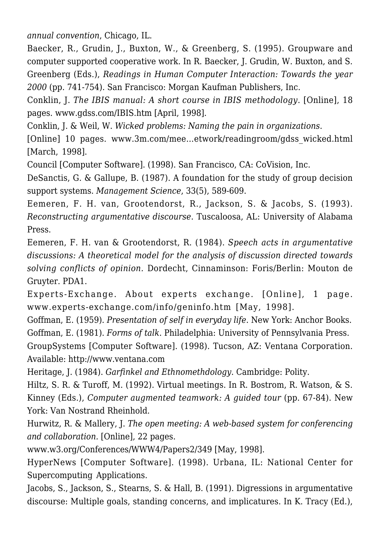*annual convention*, Chicago, IL.

Baecker, R., Grudin, J., Buxton, W., & Greenberg, S. (1995). Groupware and computer supported cooperative work. In R. Baecker, J. Grudin, W. Buxton, and S. Greenberg (Eds.), *Readings in Human Computer Interaction: Towards the year 2000* (pp. 741-754). San Francisco: Morgan Kaufman Publishers, Inc.

Conklin, J. *The IBIS manual: A short course in IBIS methodology*. [Online], 18 pages. www.gdss.com/IBIS.htm [April, 1998].

Conklin, J. & Weil, W. *Wicked problems: Naming the pain in organizations*.

[Online] 10 pages. www.3m.com/mee…etwork/readingroom/gdss\_wicked.html [March, 1998].

Council [Computer Software]. (1998). San Francisco, CA: CoVision, Inc.

DeSanctis, G. & Gallupe, B. (1987). A foundation for the study of group decision support systems. *Management Science*, 33(5), 589-609.

Eemeren, F. H. van, Grootendorst, R., Jackson, S. & Jacobs, S. (1993). *Reconstructing argumentative discourse*. Tuscaloosa, AL: University of Alabama Press.

Eemeren, F. H. van & Grootendorst, R. (1984). *Speech acts in argumentative discussions: A theoretical model for the analysis of discussion directed towards solving conflicts of opinion.* Dordecht, Cinnaminson: Foris/Berlin: Mouton de Gruyter. PDA1.

Experts-Exchange. About experts exchange. [Online], 1 page. www.experts-exchange.com/info/geninfo.htm [May, 1998].

Goffman, E. (1959). *Presentation of self in everyday life*. New York: Anchor Books. Goffman, E. (1981). *Forms of talk*. Philadelphia: University of Pennsylvania Press.

GroupSystems [Computer Software]. (1998). Tucson, AZ: Ventana Corporation. Available: http://www.ventana.com

Heritage, J. (1984). *Garfinkel and Ethnomethdology*. Cambridge: Polity.

Hiltz, S. R. & Turoff, M. (1992). Virtual meetings. In R. Bostrom, R. Watson, & S. Kinney (Eds.), *Computer augmented teamwork: A guided tour* (pp. 67-84). New York: Van Nostrand Rheinhold.

Hurwitz, R. & Mallery, J. *The open meeting: A web-based system for conferencing and collaboration.* [Online], 22 pages.

www.w3.org/Conferences/WWW4/Papers2/349 [May, 1998].

HyperNews [Computer Software]. (1998). Urbana, IL: National Center for Supercomputing Applications.

Jacobs, S., Jackson, S., Stearns, S. & Hall, B. (1991). Digressions in argumentative discourse: Multiple goals, standing concerns, and implicatures. In K. Tracy (Ed.),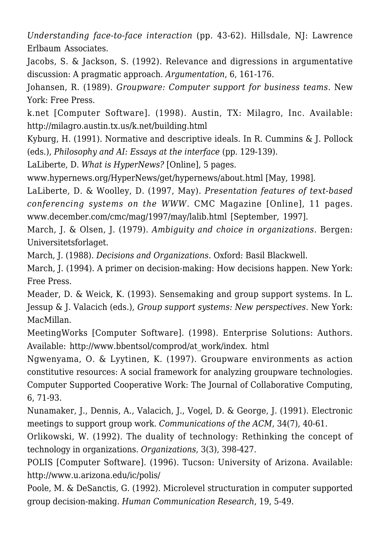*Understanding face-to-face interaction* (pp. 43-62). Hillsdale, NJ: Lawrence Erlbaum Associates.

Jacobs, S. & Jackson, S. (1992). Relevance and digressions in argumentative discussion: A pragmatic approach. *Argumentation*, 6, 161-176.

Johansen, R. (1989). *Groupware: Computer support for business teams*. New York: Free Press.

k.net [Computer Software]. (1998). Austin, TX: Milagro, Inc. Available: http://milagro.austin.tx.us/k.net/building.html

Kyburg, H. (1991). Normative and descriptive ideals. In R. Cummins & J. Pollock (eds.), *Philosophy and AI: Essays at the interface* (pp. 129-139).

LaLiberte, D. *What is HyperNews?* [Online], 5 pages.

www.hypernews.org/HyperNews/get/hypernews/about.html [May, 1998].

LaLiberte, D. & Woolley, D. (1997, May). *Presentation features of text-based conferencing systems on the WWW*. CMC Magazine [Online], 11 pages. www.december.com/cmc/mag/1997/may/lalib.html [September, 1997].

March, J. & Olsen, J. (1979). *Ambiguity and choice in organizations.* Bergen: Universitetsforlaget.

March, J. (1988). *Decisions and Organizations*. Oxford: Basil Blackwell.

March, J. (1994). A primer on decision-making: How decisions happen. New York: Free Press.

Meader, D. & Weick, K. (1993). Sensemaking and group support systems. In L. Jessup & J. Valacich (eds.), *Group support systems: New perspectives.* New York: MacMillan.

MeetingWorks [Computer Software]. (1998). Enterprise Solutions: Authors. Available: http://www.bbentsol/comprod/at\_work/index. html

Ngwenyama, O. & Lyytinen, K. (1997). Groupware environments as action constitutive resources: A social framework for analyzing groupware technologies. Computer Supported Cooperative Work: The Journal of Collaborative Computing, 6, 71-93.

Nunamaker, J., Dennis, A., Valacich, J., Vogel, D. & George, J. (1991). Electronic meetings to support group work. *Communications of the ACM*, 34(7), 40-61.

Orlikowski, W. (1992). The duality of technology: Rethinking the concept of technology in organizations. *Organizations*, 3(3), 398-427.

POLIS [Computer Software]. (1996). Tucson: University of Arizona. Available: http://www.u.arizona.edu/ic/polis/

Poole, M. & DeSanctis, G. (1992). Microlevel structuration in computer supported group decision-making. *Human Communication Research*, 19, 5-49.